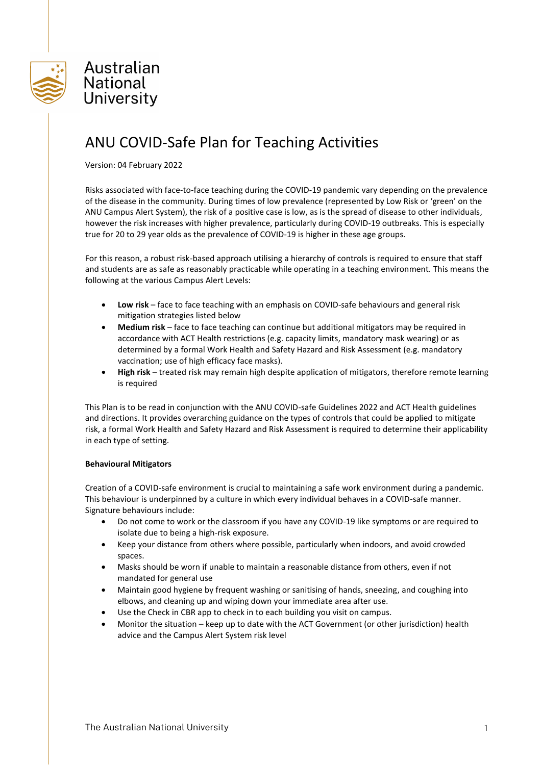

# ANU COVID-Safe Plan for Teaching Activities

Version: 04 February 2022

Risks associated with face-to-face teaching during the COVID-19 pandemic vary depending on the prevalence of the disease in the community. During times of low prevalence (represented by Low Risk or 'green' on the ANU Campus Alert System), the risk of a positive case is low, as is the spread of disease to other individuals, however the risk increases with higher prevalence, particularly during COVID-19 outbreaks. This is especially true for 20 to 29 year olds as the prevalence of COVID-19 is higher in these age groups.

For this reason, a robust risk-based approach utilising a hierarchy of controls is required to ensure that staff and students are as safe as reasonably practicable while operating in a teaching environment. This means the following at the various Campus Alert Levels:

- **Low risk** face to face teaching with an emphasis on COVID-safe behaviours and general risk mitigation strategies listed below
- **Medium risk** face to face teaching can continue but additional mitigators may be required in accordance with ACT Health restrictions (e.g. capacity limits, mandatory mask wearing) or as determined by a formal Work Health and Safety Hazard and Risk Assessment (e.g. mandatory vaccination; use of high efficacy face masks).
- **High risk** treated risk may remain high despite application of mitigators, therefore remote learning is required

This Plan is to be read in conjunction with the ANU COVID-safe Guidelines 2022 and ACT Health guidelines and directions. It provides overarching guidance on the types of controls that could be applied to mitigate risk, a formal Work Health and Safety Hazard and Risk Assessment is required to determine their applicability in each type of setting.

#### **Behavioural Mitigators**

Creation of a COVID-safe environment is crucial to maintaining a safe work environment during a pandemic. This behaviour is underpinned by a culture in which every individual behaves in a COVID-safe manner. Signature behaviours include:

- Do not come to work or the classroom if you have any COVID-19 like symptoms or are required to isolate due to being a high-risk exposure.
- Keep your distance from others where possible, particularly when indoors, and avoid crowded spaces.
- Masks should be worn if unable to maintain a reasonable distance from others, even if not mandated for general use
- Maintain good hygiene by frequent washing or sanitising of hands, sneezing, and coughing into elbows, and cleaning up and wiping down your immediate area after use.
- Use the Check in CBR app to check in to each building you visit on campus.
- Monitor the situation keep up to date with the ACT Government (or other jurisdiction) health advice and the Campus Alert System risk level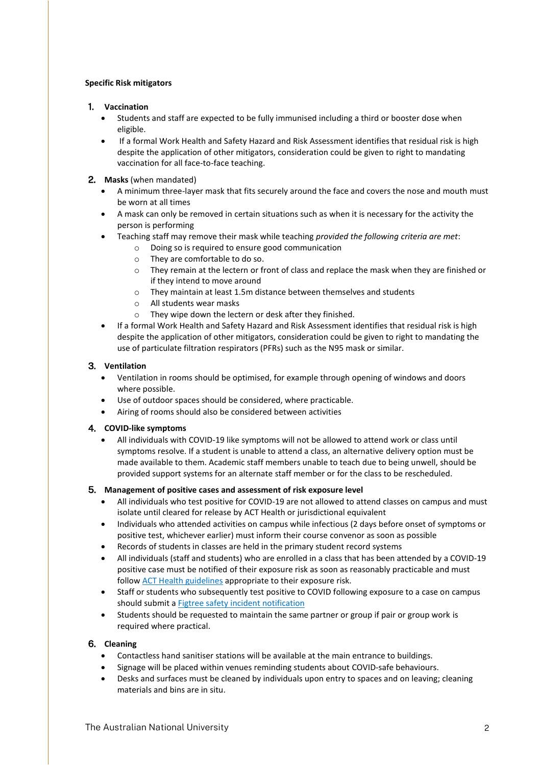## **Specific Risk mitigators**

## 1. **Vaccination**

- Students and staff are expected to be fully immunised including a third or booster dose when eligible.
- If a formal Work Health and Safety Hazard and Risk Assessment identifies that residual risk is high despite the application of other mitigators, consideration could be given to right to mandating vaccination for all face-to-face teaching.
- 2. **Masks** (when mandated)
	- A minimum three-layer mask that fits securely around the face and covers the nose and mouth must be worn at all times
	- A mask can only be removed in certain situations such as when it is necessary for the activity the person is performing
	- Teaching staff may remove their mask while teaching *provided the following criteria are met*:
		- o Doing so is required to ensure good communication
		- o They are comfortable to do so.
		- o They remain at the lectern or front of class and replace the mask when they are finished or if they intend to move around
		- o They maintain at least 1.5m distance between themselves and students
		- o All students wear masks
		- o They wipe down the lectern or desk after they finished.
	- If a formal Work Health and Safety Hazard and Risk Assessment identifies that residual risk is high despite the application of other mitigators, consideration could be given to right to mandating the use of particulate filtration respirators (PFRs) such as the N95 mask or similar.

## 3. **Ventilation**

- Ventilation in rooms should be optimised, for example through opening of windows and doors where possible.
- Use of outdoor spaces should be considered, where practicable.
- Airing of rooms should also be considered between activities

# 4. **COVID-like symptoms**

 All individuals with COVID-19 like symptoms will not be allowed to attend work or class until symptoms resolve. If a student is unable to attend a class, an alternative delivery option must be made available to them. Academic staff members unable to teach due to being unwell, should be provided support systems for an alternate staff member or for the class to be rescheduled.

#### 5. **Management of positive cases and assessment of risk exposure level**

- All individuals who test positive for COVID-19 are not allowed to attend classes on campus and must isolate until cleared for release by ACT Health or jurisdictional equivalent
- Individuals who attended activities on campus while infectious (2 days before onset of symptoms or positive test, whichever earlier) must inform their course convenor as soon as possible
- Records of students in classes are held in the primary student record systems
- All individuals (staff and students) who are enrolled in a class that has been attended by a COVID-19 positive case must be notified of their exposure risk as soon as reasonably practicable and must follow **ACT** Health guidelines appropriate to their exposure risk.
- Staff or students who subsequently test positive to COVID following exposure to a case on campus should submit a [Figtree safety incident notification](https://services.anu.edu.au/information-technology/software-systems/figtree-workplace-safety-incident-hazard-reporting-tool)
- Students should be requested to maintain the same partner or group if pair or group work is required where practical.

# 6. **Cleaning**

- Contactless hand sanitiser stations will be available at the main entrance to buildings.
- Signage will be placed within venues reminding students about COVID-safe behaviours.
- Desks and surfaces must be cleaned by individuals upon entry to spaces and on leaving; cleaning materials and bins are in situ.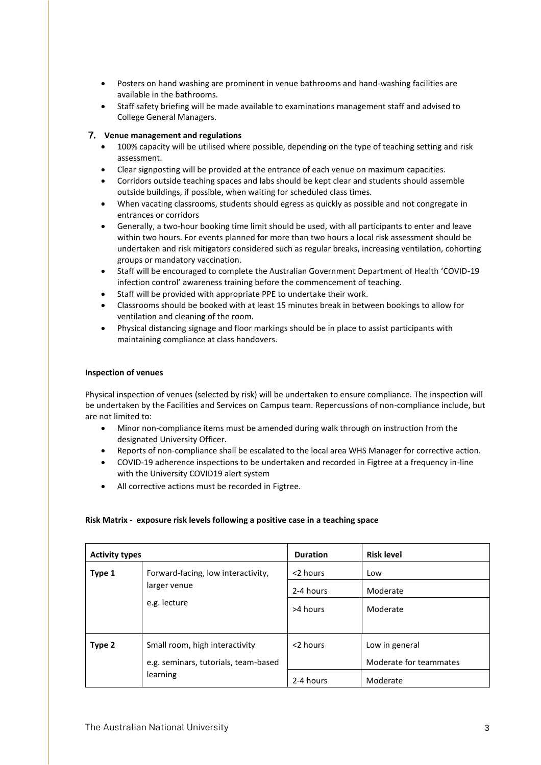- Posters on hand washing are prominent in venue bathrooms and hand-washing facilities are available in the bathrooms.
- Staff safety briefing will be made available to examinations management staff and advised to College General Managers.

# 7. **Venue management and regulations**

- 100% capacity will be utilised where possible, depending on the type of teaching setting and risk assessment.
- Clear signposting will be provided at the entrance of each venue on maximum capacities.
- Corridors outside teaching spaces and labs should be kept clear and students should assemble outside buildings, if possible, when waiting for scheduled class times.
- When vacating classrooms, students should egress as quickly as possible and not congregate in entrances or corridors
- Generally, a two-hour booking time limit should be used, with all participants to enter and leave within two hours. For events planned for more than two hours a local risk assessment should be undertaken and risk mitigators considered such as regular breaks, increasing ventilation, cohorting groups or mandatory vaccination.
- Staff will be encouraged to complete the Australian Government Department of Health 'COVID-19 infection control' awareness training before the commencement of teaching.
- Staff will be provided with appropriate PPE to undertake their work.
- Classrooms should be booked with at least 15 minutes break in between bookings to allow for ventilation and cleaning of the room.
- Physical distancing signage and floor markings should be in place to assist participants with maintaining compliance at class handovers.

#### **Inspection of venues**

Physical inspection of venues (selected by risk) will be undertaken to ensure compliance. The inspection will be undertaken by the Facilities and Services on Campus team. Repercussions of non-compliance include, but are not limited to:

- Minor non-compliance items must be amended during walk through on instruction from the designated University Officer.
- Reports of non-compliance shall be escalated to the local area WHS Manager for corrective action.
- COVID-19 adherence inspections to be undertaken and recorded in Figtree at a frequency in-line with the University COVID19 alert system
- All corrective actions must be recorded in Figtree.

#### **Risk Matrix - exposure risk levels following a positive case in a teaching space**

| <b>Activity types</b> |                                                                                    | <b>Duration</b> | <b>Risk level</b>      |
|-----------------------|------------------------------------------------------------------------------------|-----------------|------------------------|
| Type 1                | Forward-facing, low interactivity,<br>larger venue<br>e.g. lecture                 | <2 hours        | Low                    |
|                       |                                                                                    | 2-4 hours       | Moderate               |
|                       |                                                                                    | >4 hours        | Moderate               |
|                       |                                                                                    |                 |                        |
| Type 2                | Small room, high interactivity<br>e.g. seminars, tutorials, team-based<br>learning | <2 hours        | Low in general         |
|                       |                                                                                    |                 | Moderate for teammates |
|                       |                                                                                    | 2-4 hours       | Moderate               |